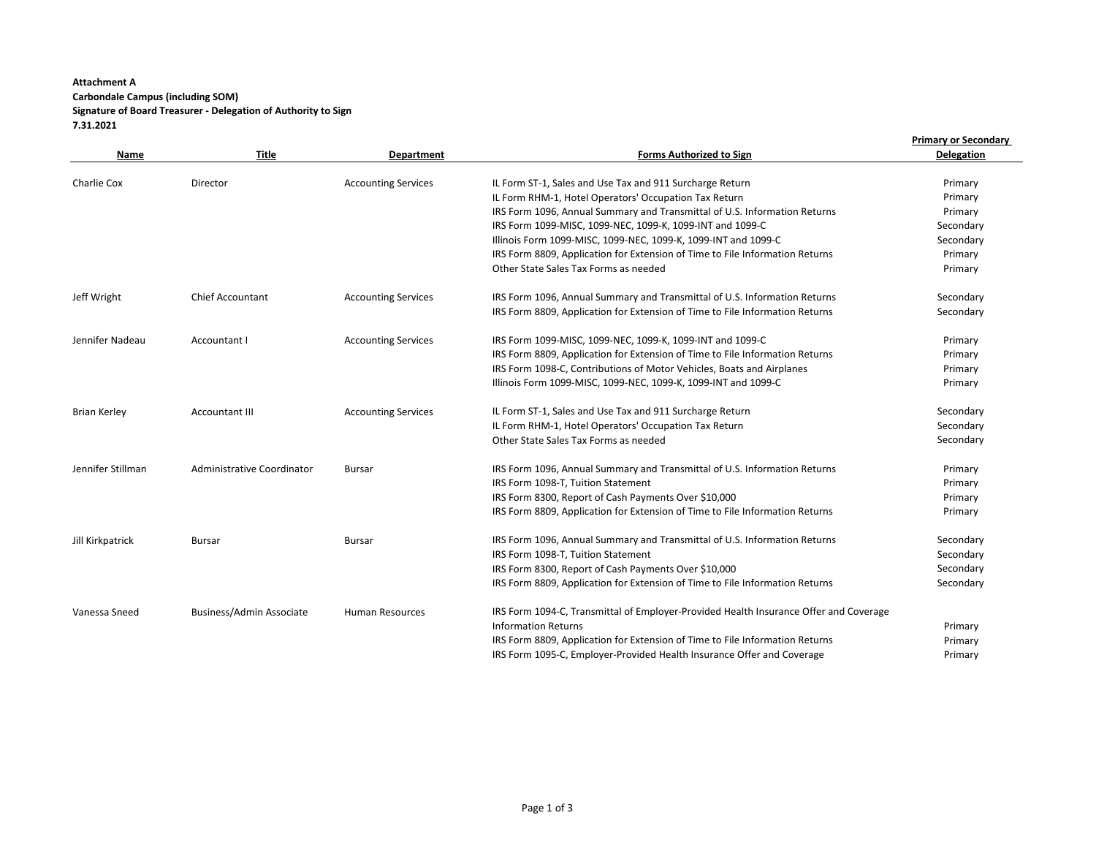## **Attachment A Carbondale Campus (including SOM) Signature of Board Treasurer - Delegation of Authority to Sign 7.31.2021**

|                     |                                 |                            |                                                                                                                   | <b>Primary or Secondary</b> |
|---------------------|---------------------------------|----------------------------|-------------------------------------------------------------------------------------------------------------------|-----------------------------|
| Name                | <b>Title</b>                    | Department                 | <b>Forms Authorized to Sign</b>                                                                                   | <b>Delegation</b>           |
|                     |                                 |                            |                                                                                                                   |                             |
| Charlie Cox         | Director                        | <b>Accounting Services</b> | IL Form ST-1, Sales and Use Tax and 911 Surcharge Return<br>IL Form RHM-1, Hotel Operators' Occupation Tax Return | Primary                     |
|                     |                                 |                            | IRS Form 1096, Annual Summary and Transmittal of U.S. Information Returns                                         | Primary<br>Primary          |
|                     |                                 |                            | IRS Form 1099-MISC, 1099-NEC, 1099-K, 1099-INT and 1099-C                                                         | Secondary                   |
|                     |                                 |                            | Illinois Form 1099-MISC, 1099-NEC, 1099-K, 1099-INT and 1099-C                                                    | Secondary                   |
|                     |                                 |                            | IRS Form 8809, Application for Extension of Time to File Information Returns                                      | Primary                     |
|                     |                                 |                            | Other State Sales Tax Forms as needed                                                                             | Primary                     |
|                     |                                 |                            |                                                                                                                   |                             |
| Jeff Wright         | <b>Chief Accountant</b>         | <b>Accounting Services</b> | IRS Form 1096, Annual Summary and Transmittal of U.S. Information Returns                                         | Secondary                   |
|                     |                                 |                            | IRS Form 8809, Application for Extension of Time to File Information Returns                                      | Secondary                   |
| Jennifer Nadeau     | Accountant I                    | <b>Accounting Services</b> | IRS Form 1099-MISC, 1099-NEC, 1099-K, 1099-INT and 1099-C                                                         | Primary                     |
|                     |                                 |                            | IRS Form 8809, Application for Extension of Time to File Information Returns                                      | Primary                     |
|                     |                                 |                            | IRS Form 1098-C, Contributions of Motor Vehicles, Boats and Airplanes                                             | Primary                     |
|                     |                                 |                            | Illinois Form 1099-MISC, 1099-NEC, 1099-K, 1099-INT and 1099-C                                                    | Primary                     |
| <b>Brian Kerley</b> | <b>Accountant III</b>           | <b>Accounting Services</b> | IL Form ST-1, Sales and Use Tax and 911 Surcharge Return                                                          | Secondary                   |
|                     |                                 |                            | IL Form RHM-1, Hotel Operators' Occupation Tax Return                                                             | Secondary                   |
|                     |                                 |                            | Other State Sales Tax Forms as needed                                                                             | Secondary                   |
| Jennifer Stillman   | Administrative Coordinator      | <b>Bursar</b>              | IRS Form 1096, Annual Summary and Transmittal of U.S. Information Returns                                         | Primary                     |
|                     |                                 |                            | IRS Form 1098-T, Tuition Statement                                                                                | Primary                     |
|                     |                                 |                            | IRS Form 8300, Report of Cash Payments Over \$10,000                                                              | Primary                     |
|                     |                                 |                            | IRS Form 8809, Application for Extension of Time to File Information Returns                                      | Primary                     |
| Jill Kirkpatrick    | <b>Bursar</b>                   | Bursar                     | IRS Form 1096, Annual Summary and Transmittal of U.S. Information Returns                                         | Secondary                   |
|                     |                                 |                            | IRS Form 1098-T, Tuition Statement                                                                                | Secondary                   |
|                     |                                 |                            | IRS Form 8300, Report of Cash Payments Over \$10,000                                                              | Secondary                   |
|                     |                                 |                            | IRS Form 8809, Application for Extension of Time to File Information Returns                                      | Secondary                   |
| Vanessa Sneed       | <b>Business/Admin Associate</b> | <b>Human Resources</b>     | IRS Form 1094-C, Transmittal of Employer-Provided Health Insurance Offer and Coverage                             |                             |
|                     |                                 |                            | <b>Information Returns</b>                                                                                        | Primary                     |
|                     |                                 |                            | IRS Form 8809, Application for Extension of Time to File Information Returns                                      | Primary                     |
|                     |                                 |                            | IRS Form 1095-C, Employer-Provided Health Insurance Offer and Coverage                                            | Primary                     |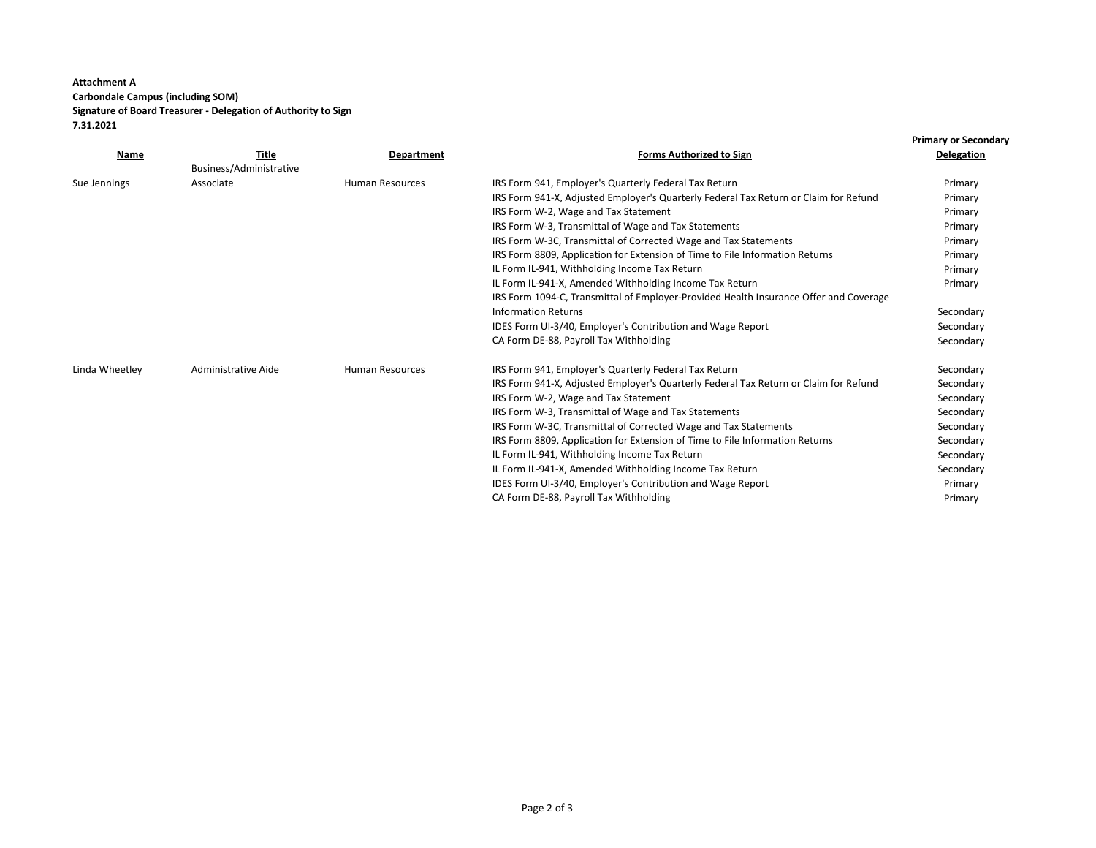## **Attachment A Carbondale Campus (including SOM) Signature of Board Treasurer - Delegation of Authority to Sign 7.31.2021**

|                |                         |                        |                                                                                       | <b>Primary or Secondary</b> |
|----------------|-------------------------|------------------------|---------------------------------------------------------------------------------------|-----------------------------|
| Name           | <b>Title</b>            | <b>Department</b>      | <b>Forms Authorized to Sign</b>                                                       | <b>Delegation</b>           |
|                | Business/Administrative |                        |                                                                                       |                             |
| Sue Jennings   | Associate               | <b>Human Resources</b> | IRS Form 941, Employer's Quarterly Federal Tax Return                                 | Primary                     |
|                |                         |                        | IRS Form 941-X, Adjusted Employer's Quarterly Federal Tax Return or Claim for Refund  | Primary                     |
|                |                         |                        | IRS Form W-2, Wage and Tax Statement                                                  | Primary                     |
|                |                         |                        | IRS Form W-3, Transmittal of Wage and Tax Statements                                  | Primary                     |
|                |                         |                        | IRS Form W-3C, Transmittal of Corrected Wage and Tax Statements                       | Primary                     |
|                |                         |                        | IRS Form 8809, Application for Extension of Time to File Information Returns          | Primary                     |
|                |                         |                        | IL Form IL-941, Withholding Income Tax Return                                         | Primary                     |
|                |                         |                        | IL Form IL-941-X, Amended Withholding Income Tax Return                               | Primary                     |
|                |                         |                        | IRS Form 1094-C, Transmittal of Employer-Provided Health Insurance Offer and Coverage |                             |
|                |                         |                        | <b>Information Returns</b>                                                            | Secondary                   |
|                |                         |                        | IDES Form UI-3/40, Employer's Contribution and Wage Report                            | Secondary                   |
|                |                         |                        | CA Form DE-88, Payroll Tax Withholding                                                | Secondary                   |
| Linda Wheetley | Administrative Aide     | <b>Human Resources</b> | IRS Form 941, Employer's Quarterly Federal Tax Return                                 | Secondary                   |
|                |                         |                        | IRS Form 941-X, Adjusted Employer's Quarterly Federal Tax Return or Claim for Refund  | Secondary                   |
|                |                         |                        | IRS Form W-2, Wage and Tax Statement                                                  | Secondary                   |
|                |                         |                        | IRS Form W-3, Transmittal of Wage and Tax Statements                                  | Secondary                   |
|                |                         |                        | IRS Form W-3C, Transmittal of Corrected Wage and Tax Statements                       | Secondary                   |
|                |                         |                        | IRS Form 8809, Application for Extension of Time to File Information Returns          | Secondary                   |
|                |                         |                        | IL Form IL-941, Withholding Income Tax Return                                         | Secondary                   |
|                |                         |                        | IL Form IL-941-X, Amended Withholding Income Tax Return                               | Secondary                   |
|                |                         |                        | IDES Form UI-3/40, Employer's Contribution and Wage Report                            | Primary                     |
|                |                         |                        | CA Form DE-88, Payroll Tax Withholding                                                | Primary                     |